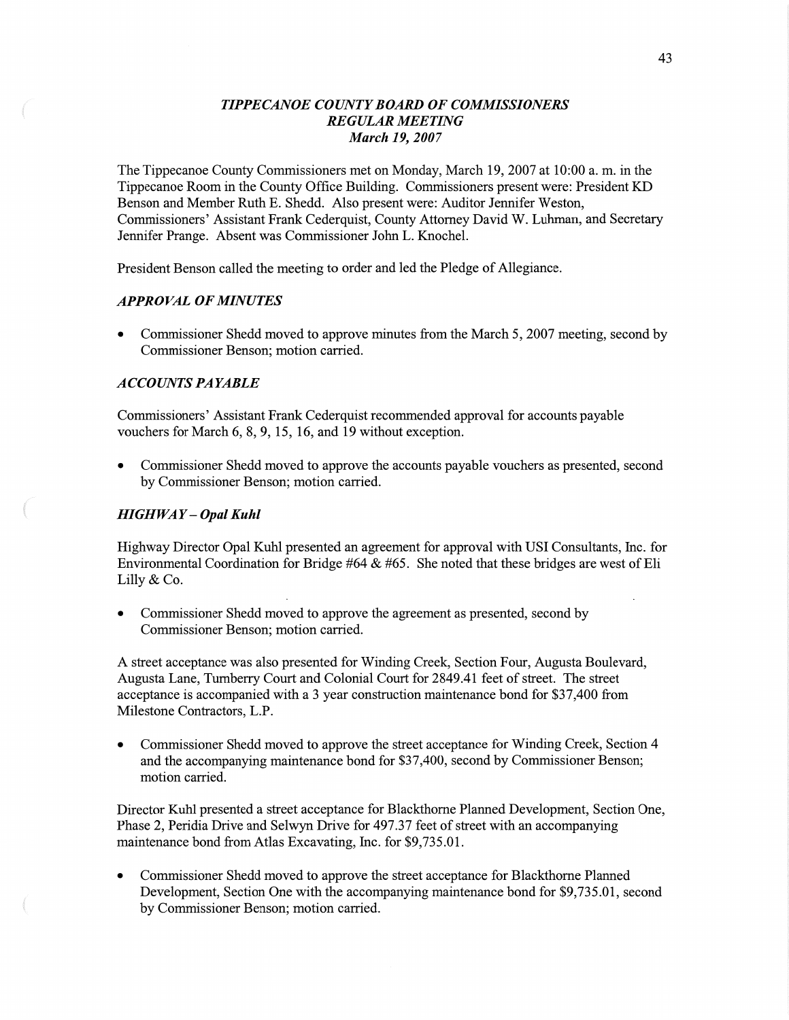# *TIPPECANOE COUNT Y BOARD* OF *COMMISSIONERS REGULAR MEETING March* 19, *2007*

The Tippecanoe County Commissioners met on Monday, March 19, 2007 at 10:00 a. m. in the Tippecanoe Room in the County Office Building. Commissioners present were: President KD Benson and Member Ruth B. Shedd. Also present were: Auditor Jennifer Weston, Commissioners' Assistant **Frank** Cederquist, County Attorney David W. Luhman, and Secretary Jennifer Prange. Absent was Commissioner John L. Knochel.

President Benson called the meeting to order and led the Pledge of Allegiance.

# *APPROVAL* OF *MINUTES*

**0** Commissioner Shedd moved to approve minutes from the March 5, 2007 meeting, second by Commissioner Benson; motion carried.

# *ACCOUNTS* PA *YABLE*

Commissioners' Assistant Frank Cederquist recommended approval for accounts payable vouchers for March 6, 8, 9, 15, 16, and 19 without exception.

**0** Commissioner Shedd moved to approve the accounts payable vouchers as presented, second by Commissioner Benson; **motion** carried.

## *HIGHWAY* — *Opal Kuhl*

Highway Director Opal Kuhl presented an agreement for approval with USI Consultants, Inc. for **Environmental** Coordination for Bridge #64 & #65. She noted that these bridges are west of Eli Lilly & Co.

**0** Commissioner Shedd **moved** to approve the agreement as presented, second by Commissioner Benson; motion carried.

A street acceptance was also presented for Winding Creek, Section Four, Augusta Boulevard, Augusta Lane, Tumberry Court and Colonial Court for 2849.41 feet of street. The street acceptance is accompanied with a 3 year construction maintenance bond for \$37,400 from Milestone Contractors, LP.

**0** Commissioner Shedd **moved** to approve the street acceptance for Winding Creek, Section 4 and the accompanying **maintenance** bond for \$37,400, second by Commissioner Benson; motion carried.

Director Kuhl presented a street acceptance for Blackthorne Planned Development, Section One, Phase 2, Peridia Drive and Selwyn Drive for 497.37 feet of street with an accompanying maintenance bond fiom Atlas Excavating, Inc. for \$9,735.01.

**0** Commissioner Shedd **moved** to approve the street acceptance for Blackthome Planned Development, Section One with the accompanying maintenance **bond** for \$9,735.01, second by Commissioner Benson; motion carried.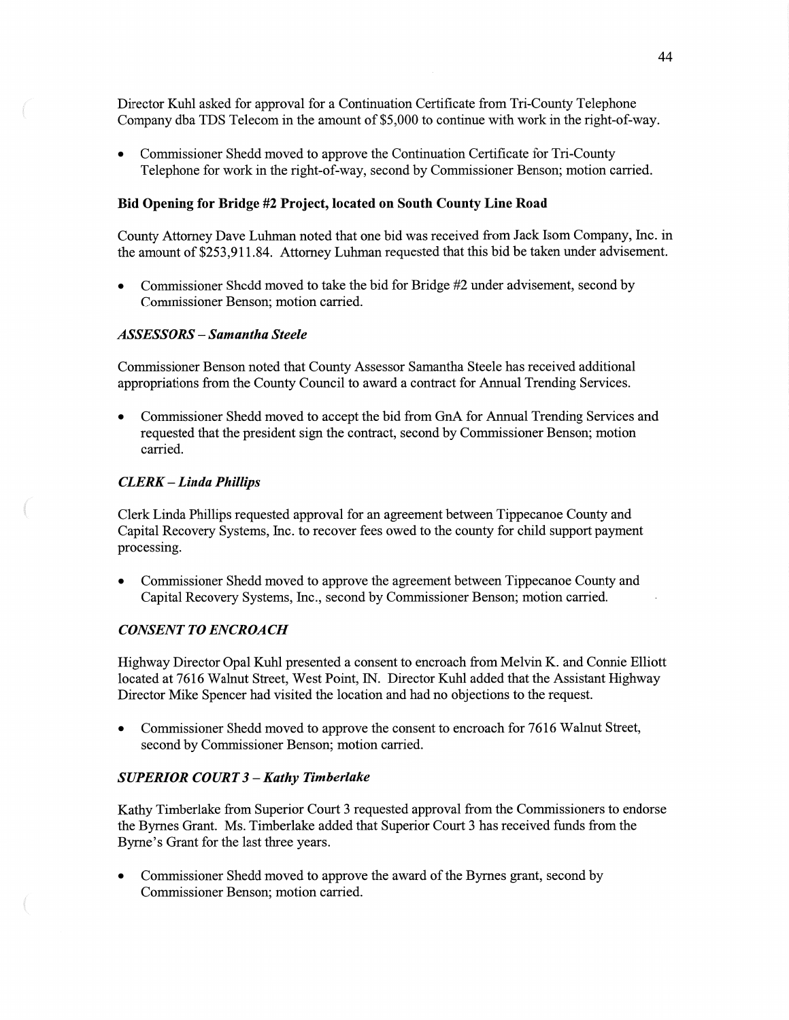Director Kuhl asked for approval for a Continuation Certificate from Tri-County Telephone Company dba TDS Telecom in the amount of \$5,000 to continue with work in the right—of-way.

**0** Commissioner Shedd moved to approve the Continuation Certificate for Tri-County Telephone for work in the right-of-way, second by Commissioner Benson; motion carried.

## Bid **Opening** for **Bridge** #2 **Project,** located on **South County** Line **Road**

County Attorney Dave Luhman noted that one bid was received fiom Jack Isom Company, Inc. in the amount of \$253,911.84. Attorney Luhman requested that this bid be taken under advisement.

**0** Commissioner Shedd **moved** to **take** the bid for Bridge #2 under advisement, second by Commissioner Benson; motion carried.

## *ASSESSORS* **—** *Samantha Steele*

Commissioner Benson noted that County Assessor Samantha Steele has received additional appropriations fiom the County Council to award **a** contract for Annual Trending Services.

**0** Commissioner Shedd **moved** to accept the bid from GnA for **Annual** Trending Services and requested that the president sign the contract, second by Commissioner Benson; motion carried.

## *CLERK* **—** *Linda Phillips*

Clerk Linda **Phillips** requested approval for an agreement between Tippecanoe County and Capital Recovery Systems, Inc. to recover fees owed to the county for child support paymen<sup>t</sup> processing.

**0** Commissioner Shedd moved to approve the agreement between Tippecanoe County and Capital Recovery Systems, Inc., second by Commissioner Benson; motion carried.

# *CONSENT TO ENCROACH*

Highway Director Opal Kuhl presented a consent to encroach from Melvin K. and Comic Elliott located at 7616 Walnut Street, West **Point,** IN. Director Kuhl added that the Assistant Highway Director Mike Spencer had Visited the location and had no objections to the request.

**0** Commissioner Shedd moved to approve the consent to encroach for 7616 Walnut Street, second by Commissioner Benson; motion carried.

#### *SUPERIOR COURT 3* **—** *Kathy Timberlake*

Kathy Timberlake fiom Superior Court 3 requested approval from the Commissioners to endorse the Byrnes Grant. Ms. Timberlake added **that** Superior Court 3 has received funds from the Byrne's Grant for the last three years.

**0** Commissioner Shedd moved to approve the award of the Bymes grant, second by Commissioner Benson; motion carried.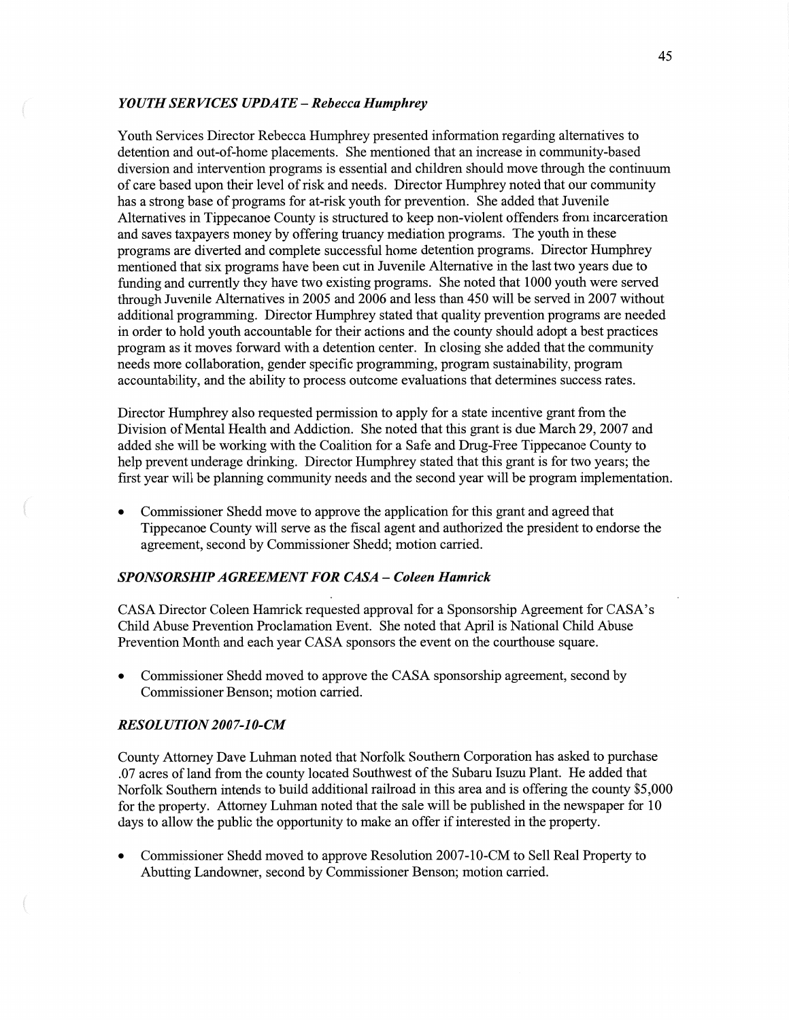### *YOUTH SERVICES UPDATE* **—** *Rebecca Humphrey*

Youth Services Director Rebecca Humphrey presented information regarding alternatives to detention and out-of-home placements. She mentioned that an increase in community-based diversion and intervention programs is essential and children should move through the continuum of care based upon their level of risk and needs. Director Humphrey noted that our community has a strong base of programs for at-risk youth for prevention. She added that Juvenile Alternatives in Tippecanoe County is structured to keep non-violent offenders from incarceration and saves taxpayers money by offering truancy mediation programs. The youth in these programs are diverted and complete successful home detention programs. Director Humphrey mentioned that six programs have been cut in Juvenile Alternative in the last two years due to funding and currently they have two existing programs. She noted that 1000 youth were served through Juvenile Alternatives in 2005 and 2006 and less than 450 will be served in 2007 without additional programming. Director Humphrey stated that quality prevention programs are needed in order to hold youth accountable for their actions and the county should adopt a best practices program as it moves forward With a detention center. In closing she **added that** the community needs more collaboration, gender specific programming, program sustainability, program accountability, and the ability to process outcome evaluations **that** detennines success rates.

Director Humphrey also requested permission to apply for **a** state incentive grant from the **Division** of Mental **Health** and Addiction. She noted that this grant is due March 29, 2007 and added she will be working with the Coalition for a Safe and Drug-Free Tippecanoe County to help prevent underage drinking. Director Humphrey stated that this grant is for two years; the first year will be planning community needs and the second year will be program implementation.

**0** Commissioner **Shedd** move to approve the application for this grant and agreed that Tippecanoe County will serve as the fiscal agent and authorized the president to endorse the agreement, second by Commissioner Shedd; motion carried.

# **SPONSORSHIP AGREEMENT FOR CASA - Coleen Hamrick**

CASA Director Coleen Hamrick requested approval for a Sponsorship Agreement for CASA's Child Abuse Prevention Proclamation Event. She noted that April is National Child Abuse Prevention Month and each year CASA sponsors the event on the courthouse square.

**0** Commissioner Shedd **moved** to approve the CASA sponsorship agreement, second by Commissioner Benson; motion carried.

### *RESOLUTION 2007-10-CM*

County Attorney Dave Luhman noted that Norfolk Southern Corporation has asked to purchase .07 acres of land from the county located Southwest of the Subaru Isuzu Plant. He added that Norfolk Southern intends to build additional railroad in this area and is offering the county \$5,000 for the property. Attorney Luhman noted that the sale will be published in the newspaper for 10 days to allow the public the opportunity to make an offer if interested in the property.

**0** Commissioner Shedd moved to approve Resolution 2007-10-CM to Sell Real Property to **Abutting** Landowner, second by Commissioner Benson; **motion** carried.